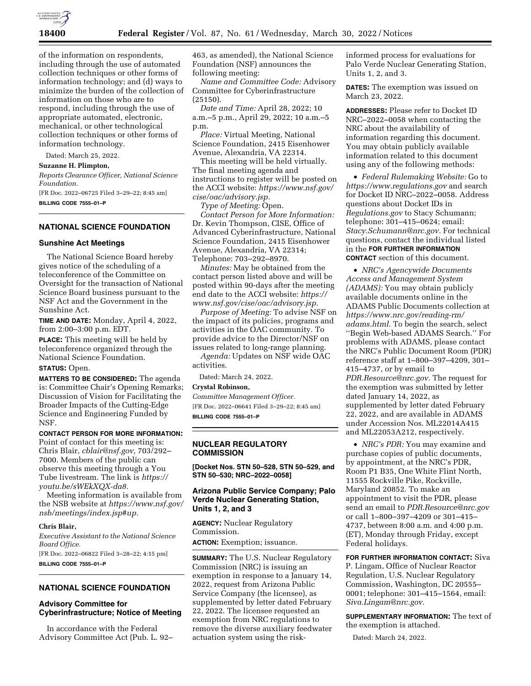

of the information on respondents, including through the use of automated collection techniques or other forms of information technology; and (d) ways to minimize the burden of the collection of information on those who are to respond, including through the use of appropriate automated, electronic, mechanical, or other technological collection techniques or other forms of information technology.

Dated: March 25, 2022.

**Suzanne H. Plimpton,** 

*Reports Clearance Officer, National Science Foundation.* 

[FR Doc. 2022–06725 Filed 3–29–22; 8:45 am] **BILLING CODE 7555–01–P** 

## **NATIONAL SCIENCE FOUNDATION**

### **Sunshine Act Meetings**

The National Science Board hereby gives notice of the scheduling of a teleconference of the Committee on Oversight for the transaction of National Science Board business pursuant to the NSF Act and the Government in the Sunshine Act.

**TIME AND DATE:** Monday, April 4, 2022, from 2:00–3:00 p.m. EDT.

**PLACE:** This meeting will be held by teleconference organized through the National Science Foundation.

### **STATUS:** Open.

**MATTERS TO BE CONSIDERED:** The agenda is: Committee Chair's Opening Remarks; Discussion of Vision for Facilitating the Broader Impacts of the Cutting-Edge Science and Engineering Funded by NSF.

### **CONTACT PERSON FOR MORE INFORMATION:**

Point of contact for this meeting is: Chris Blair, *[cblair@nsf.gov,](mailto:cblair@nsf.gov)* 703/292– 7000. Members of the public can observe this meeting through a You Tube livestream. The link is *[https://](https://youtu.be/sWEkXQX-da8) [youtu.be/sWEkXQX-da8.](https://youtu.be/sWEkXQX-da8)* 

Meeting information is available from the NSB website at *[https://www.nsf.gov/](https://www.nsf.gov/nsb/meetings/index.jsp#up)  [nsb/meetings/index.jsp#up.](https://www.nsf.gov/nsb/meetings/index.jsp#up)* 

### **Chris Blair,**

*Executive Assistant to the National Science Board Office.* 

[FR Doc. 2022–06822 Filed 3–28–22; 4:15 pm] **BILLING CODE 7555–01–P** 

### **NATIONAL SCIENCE FOUNDATION**

# **Advisory Committee for Cyberinfrastructure; Notice of Meeting**

In accordance with the Federal Advisory Committee Act (Pub. L. 92– 463, as amended), the National Science Foundation (NSF) announces the following meeting:

*Name and Committee Code:* Advisory Committee for Cyberinfrastructure (25150).

*Date and Time:* April 28, 2022; 10 a.m.–5 p.m., April 29, 2022; 10 a.m.–5 p.m.

*Place:* Virtual Meeting, National Science Foundation, 2415 Eisenhower Avenue, Alexandria, VA 22314.

This meeting will be held virtually. The final meeting agenda and instructions to register will be posted on the ACCI website: *[https://www.nsf.gov/](https://www.nsf.gov/cise/oac/advisory.jsp)  [cise/oac/advisory.jsp.](https://www.nsf.gov/cise/oac/advisory.jsp)* 

*Type of Meeting:* Open.

*Contact Person for More Information:*  Dr. Kevin Thompson, CISE, Office of Advanced Cyberinfrastructure, National Science Foundation, 2415 Eisenhower Avenue, Alexandria, VA 22314; Telephone: 703–292–8970.

*Minutes:* May be obtained from the contact person listed above and will be posted within 90-days after the meeting end date to the ACCI website: *[https://](https://www.nsf.gov/cise/oac/advisory.jsp) [www.nsf.gov/cise/oac/advisory.jsp.](https://www.nsf.gov/cise/oac/advisory.jsp)* 

*Purpose of Meeting:* To advise NSF on the impact of its policies, programs and activities in the OAC community. To provide advice to the Director/NSF on issues related to long-range planning.

*Agenda:* Updates on NSF wide OAC activities.

Dated: March 24, 2022.

## **Crystal Robinson,**

*Committee Management Officer.*  [FR Doc. 2022–06641 Filed 3–29–22; 8:45 am] **BILLING CODE 7555–01–P** 

### **NUCLEAR REGULATORY COMMISSION**

**[Docket Nos. STN 50–528, STN 50–529, and STN 50–530; NRC–2022–0058]** 

# **Arizona Public Service Company; Palo Verde Nuclear Generating Station, Units 1, 2, and 3**

**AGENCY:** Nuclear Regulatory Commission. **ACTION:** Exemption; issuance.

**SUMMARY:** The U.S. Nuclear Regulatory Commission (NRC) is issuing an exemption in response to a January 14, 2022, request from Arizona Public Service Company (the licensee), as supplemented by letter dated February 22, 2022. The licensee requested an exemption from NRC regulations to remove the diverse auxiliary feedwater actuation system using the riskinformed process for evaluations for Palo Verde Nuclear Generating Station, Units 1, 2, and 3.

**DATES:** The exemption was issued on March 23, 2022.

**ADDRESSES:** Please refer to Docket ID NRC–2022–0058 when contacting the NRC about the availability of information regarding this document. You may obtain publicly available information related to this document using any of the following methods:

• *Federal Rulemaking Website:* Go to *<https://www.regulations.gov>* and search for Docket ID NRC–2022–0058. Address questions about Docket IDs in *Regulations.gov* to Stacy Schumann; telephone: 301–415–0624; email: *[Stacy.Schumann@nrc.gov.](mailto:Stacy.Schumann@nrc.gov)* For technical questions, contact the individual listed in the **FOR FURTHER INFORMATION CONTACT** section of this document.

• *NRC's Agencywide Documents Access and Management System (ADAMS):* You may obtain publicly available documents online in the ADAMS Public Documents collection at *[https://www.nrc.gov/reading-rm/](https://www.nrc.gov/reading-rm/adams.html)  [adams.html.](https://www.nrc.gov/reading-rm/adams.html)* To begin the search, select ''Begin Web-based ADAMS Search.'' For problems with ADAMS, please contact the NRC's Public Document Room (PDR) reference staff at 1–800–397–4209, 301– 415–4737, or by email to *[PDR.Resource@nrc.gov.](mailto:PDR.Resource@nrc.gov)* The request for the exemption was submitted by letter dated January 14, 2022, as supplemented by letter dated February 22, 2022, and are available in ADAMS under Accession Nos. ML22014A415 and ML22053A212, respectively.

• *NRC's PDR:* You may examine and purchase copies of public documents, by appointment, at the NRC's PDR, Room P1 B35, One White Flint North, 11555 Rockville Pike, Rockville, Maryland 20852. To make an appointment to visit the PDR, please send an email to *[PDR.Resource@nrc.gov](mailto:PDR.Resource@nrc.gov)*  or call 1–800–397–4209 or 301–415– 4737, between 8:00 a.m. and 4:00 p.m. (ET), Monday through Friday, except Federal holidays.

**FOR FURTHER INFORMATION CONTACT:** Siva P. Lingam, Office of Nuclear Reactor Regulation, U.S. Nuclear Regulatory Commission, Washington, DC 20555– 0001; telephone: 301–415–1564, email: *[Siva.Lingam@nrc.gov.](mailto:Siva.Lingam@nrc.gov)* 

**SUPPLEMENTARY INFORMATION:** The text of the exemption is attached.

Dated: March 24, 2022.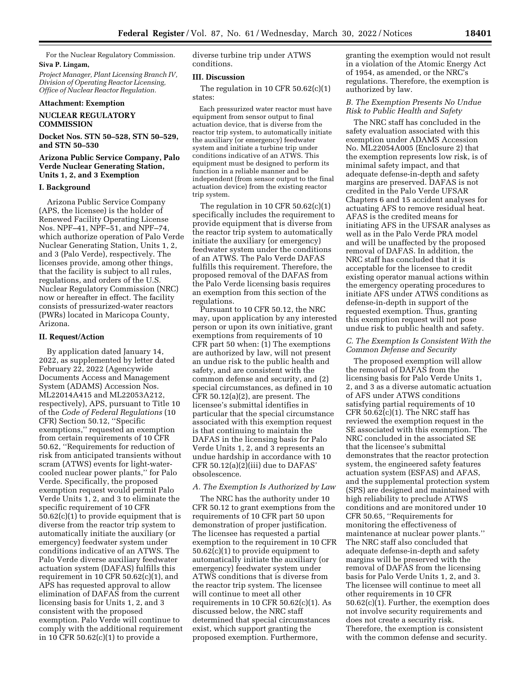For the Nuclear Regulatory Commission. **Siva P. Lingam,** 

*Project Manager, Plant Licensing Branch IV, Division of Operating Reactor Licensing, Office of Nuclear Reactor Regulation.* 

### **Attachment: Exemption**

# **NUCLEAR REGULATORY COMMISSION**

# **Docket Nos. STN 50–528, STN 50–529, and STN 50–530**

### **Arizona Public Service Company, Palo Verde Nuclear Generating Station, Units 1, 2, and 3 Exemption**

### **I. Background**

Arizona Public Service Company (APS, the licensee) is the holder of Renewed Facility Operating License Nos. NPF–41, NPF–51, and NPF–74, which authorize operation of Palo Verde Nuclear Generating Station, Units 1, 2, and 3 (Palo Verde), respectively. The licenses provide, among other things, that the facility is subject to all rules, regulations, and orders of the U.S. Nuclear Regulatory Commission (NRC) now or hereafter in effect. The facility consists of pressurized-water reactors (PWRs) located in Maricopa County, Arizona.

# **II. Request/Action**

By application dated January 14, 2022, as supplemented by letter dated February 22, 2022 (Agencywide Documents Access and Management System (ADAMS) Accession Nos. ML22014A415 and ML22053A212, respectively), APS, pursuant to Title 10 of the *Code of Federal Regulations* (10 CFR) Section 50.12, ''Specific exemptions,'' requested an exemption from certain requirements of 10 CFR 50.62, ''Requirements for reduction of risk from anticipated transients without scram (ATWS) events for light-watercooled nuclear power plants,'' for Palo Verde. Specifically, the proposed exemption request would permit Palo Verde Units 1, 2, and 3 to eliminate the specific requirement of 10 CFR 50.62(c)(1) to provide equipment that is diverse from the reactor trip system to automatically initiate the auxiliary (or emergency) feedwater system under conditions indicative of an ATWS. The Palo Verde diverse auxiliary feedwater actuation system (DAFAS) fulfills this requirement in 10 CFR  $50.62(c)(1)$ , and APS has requested approval to allow elimination of DAFAS from the current licensing basis for Units 1, 2, and 3 consistent with the proposed exemption. Palo Verde will continue to comply with the additional requirement in 10 CFR 50.62(c)(1) to provide a

diverse turbine trip under ATWS conditions.

#### **III. Discussion**

The regulation in 10 CFR 50.62(c)(1) states:

Each pressurized water reactor must have equipment from sensor output to final actuation device, that is diverse from the reactor trip system, to automatically initiate the auxiliary (or emergency) feedwater system and initiate a turbine trip under conditions indicative of an ATWS. This equipment must be designed to perform its function in a reliable manner and be independent (from sensor output to the final actuation device) from the existing reactor trip system.

The regulation in 10 CFR  $50.62(c)(1)$ specifically includes the requirement to provide equipment that is diverse from the reactor trip system to automatically initiate the auxiliary (or emergency) feedwater system under the conditions of an ATWS. The Palo Verde DAFAS fulfills this requirement. Therefore, the proposed removal of the DAFAS from the Palo Verde licensing basis requires an exemption from this section of the regulations.

Pursuant to 10 CFR 50.12, the NRC may, upon application by any interested person or upon its own initiative, grant exemptions from requirements of 10 CFR part 50 when: (1) The exemptions are authorized by law, will not present an undue risk to the public health and safety, and are consistent with the common defense and security, and (2) special circumstances, as defined in 10 CFR 50.12(a)(2), are present. The licensee's submittal identifies in particular that the special circumstance associated with this exemption request is that continuing to maintain the DAFAS in the licensing basis for Palo Verde Units 1, 2, and 3 represents an undue hardship in accordance with 10 CFR 50.12(a)(2)(iii) due to DAFAS' obsolescence.

### *A. The Exemption Is Authorized by Law*

The NRC has the authority under 10 CFR 50.12 to grant exemptions from the requirements of 10 CFR part 50 upon demonstration of proper justification. The licensee has requested a partial exemption to the requirement in 10 CFR 50.62(c)(1) to provide equipment to automatically initiate the auxiliary (or emergency) feedwater system under ATWS conditions that is diverse from the reactor trip system. The licensee will continue to meet all other requirements in 10 CFR 50.62(c)(1). As discussed below, the NRC staff determined that special circumstances exist, which support granting the proposed exemption. Furthermore,

granting the exemption would not result in a violation of the Atomic Energy Act of 1954, as amended, or the NRC's regulations. Therefore, the exemption is authorized by law.

### *B. The Exemption Presents No Undue Risk to Public Health and Safety*

The NRC staff has concluded in the safety evaluation associated with this exemption under ADAMS Accession No. ML22054A005 (Enclosure 2) that the exemption represents low risk, is of minimal safety impact, and that adequate defense-in-depth and safety margins are preserved. DAFAS is not credited in the Palo Verde UFSAR Chapters 6 and 15 accident analyses for actuating AFS to remove residual heat. AFAS is the credited means for initiating AFS in the UFSAR analyses as well as in the Palo Verde PRA model and will be unaffected by the proposed removal of DAFAS. In addition, the NRC staff has concluded that it is acceptable for the licensee to credit existing operator manual actions within the emergency operating procedures to initiate AFS under ATWS conditions as defense-in-depth in support of the requested exemption. Thus, granting this exemption request will not pose undue risk to public health and safety.

### *C. The Exemption Is Consistent With the Common Defense and Security*

The proposed exemption will allow the removal of DAFAS from the licensing basis for Palo Verde Units 1, 2, and 3 as a diverse automatic actuation of AFS under ATWS conditions satisfying partial requirements of 10  $CFR 50.62(c)(1)$ . The NRC staff has reviewed the exemption request in the SE associated with this exemption. The NRC concluded in the associated SE that the licensee's submittal demonstrates that the reactor protection system, the engineered safety features actuation system (ESFAS) and AFAS, and the supplemental protection system (SPS) are designed and maintained with high reliability to preclude ATWS conditions and are monitored under 10 CFR 50.65, ''Requirements for monitoring the effectiveness of maintenance at nuclear power plants.'' The NRC staff also concluded that adequate defense-in-depth and safety margins will be preserved with the removal of DAFAS from the licensing basis for Palo Verde Units 1, 2, and 3. The licensee will continue to meet all other requirements in 10 CFR 50.62(c)(1). Further, the exemption does not involve security requirements and does not create a security risk. Therefore, the exemption is consistent with the common defense and security.